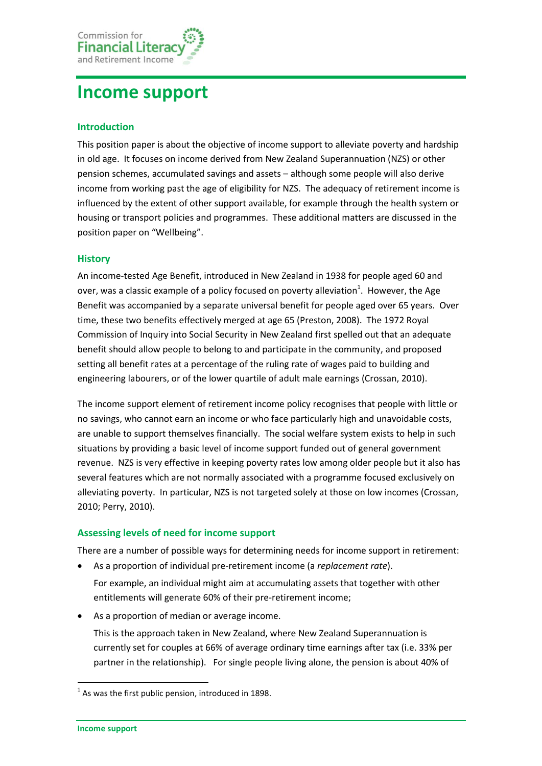

# **Income support**

## **Introduction**

This position paper is about the objective of income support to alleviate poverty and hardship in old age. It focuses on income derived from New Zealand Superannuation (NZS) or other pension schemes, accumulated savings and assets – although some people will also derive income from working past the age of eligibility for NZS. The adequacy of retirement income is influenced by the extent of other support available, for example through the health system or housing or transport policies and programmes. These additional matters are discussed in the position paper on "Wellbeing".

## **History**

An income-tested Age Benefit, introduced in New Zealand in 1938 for people aged 60 and over, was a classic example of a policy focused on poverty alleviation<sup>1</sup>. However, the Age Benefit was accompanied by a separate universal benefit for people aged over 65 years. Over time, these two benefits effectively merged at age 65 [\(Preston,](#page-5-0) 2008). The 1972 Royal Commission of Inquiry into Social Security in New Zealand first spelled out that an adequate benefit should allow people to belong to and participate in the community, and proposed setting all benefit rates at a percentage of the ruling rate of wages paid to building and engineering labourers, or of the lower quartile of adult male earnings [\(Crossan,](#page-4-0) 2010).

The income support element of retirement income policy recognises that people with little or no savings, who cannot earn an income or who face particularly high and unavoidable costs, are unable to support themselves financially. The social welfare system exists to help in such situations by providing a basic level of income support funded out of general government revenue. NZS is very effective in keeping poverty rates low among older people but it also has several features which are not normally associated with a programme focused exclusively on alleviating poverty. In particular, NZS is not targeted solely at those on low incomes [\(Crossan,](#page-4-0) [2010;](#page-4-0) [Perry,](#page-5-1) 2010).

#### **Assessing levels of need for income support**

There are a number of possible ways for determining needs for income support in retirement:

As a proportion of individual pre-retirement income (a *replacement rate*).

For example, an individual might aim at accumulating assets that together with other entitlements will generate 60% of their pre-retirement income;

As a proportion of median or average income.

This is the approach taken in New Zealand, where New Zealand Superannuation is currently set for couples at 66% of average ordinary time earnings after tax (i.e. 33% per partner in the relationship). For single people living alone, the pension is about 40% of

**.** 

 $<sup>1</sup>$  As was the first public pension, introduced in 1898.</sup>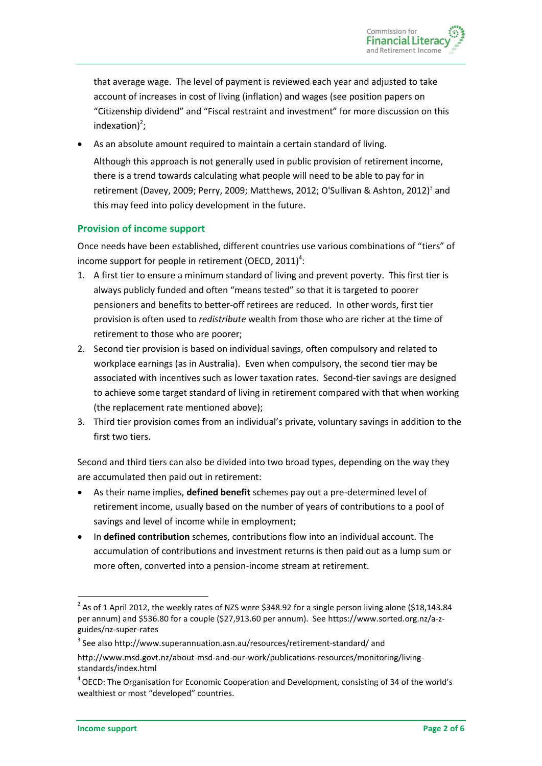that average wage. The level of payment is reviewed each year and adjusted to take account of increases in cost of living [\(inflation\)](http://www.sorted.org.nz/glossary/term/234) and wages (see position papers on "Citizenship dividend" and "Fiscal restraint and investment" for more discussion on this  $indexation)^2$ ;

 As an absolute amount required to maintain a certain standard of living. Although this approach is not generally used in public provision of retirement income, there is a trend towards calculating what people will need to be able to pay for in retirement [\(Davey,](#page-4-1) 2009[; Perry,](#page-5-2) 2009[; Matthews,](#page-5-3) 2012; [O'Sullivan & Ashton,](#page-5-4) 2012)<sup>3</sup> and this may feed into policy development in the future.

## **Provision of income support**

Once needs have been established, different countries use various combinations of "tiers" of income support for people in retirement [\(OECD,](#page-5-5) 2011)<sup>4</sup>:

- 1. A first tier to ensure a minimum standard of living and prevent poverty. This first tier is always publicly funded and often "means tested" so that it is targeted to poorer pensioners and benefits to better-off retirees are reduced. In other words, first tier provision is often used to *redistribute* wealth from those who are richer at the time of retirement to those who are poorer;
- 2. Second tier provision is based on individual savings, often compulsory and related to workplace earnings (as in Australia). Even when compulsory, the second tier may be associated with incentives such as lower taxation rates. Second-tier savings are designed to achieve some target standard of living in retirement compared with that when working (the replacement rate mentioned above);
- 3. Third tier provision comes from an individual's private, voluntary savings in addition to the first two tiers.

Second and third tiers can also be divided into two broad types, depending on the way they are accumulated then paid out in retirement:

- As their name implies, **defined benefit** schemes pay out a pre-determined level of retirement income, usually based on the number of years of contributions to a pool of savings and level of income while in employment;
- In **defined contribution** schemes, contributions flow into an individual account. The accumulation of contributions and investment returns is then paid out as a lump sum or more often, converted into a pension-income stream at retirement.

**<sup>.</sup>**  $2^{2}$  As of 1 April 2012, the weekly rates of NZS were \$348.92 for a single person living alone (\$18,143.84 per annum) and \$536.80 for a couple (\$27,913.60 per annum). Se[e https://www.sorted.org.nz/a-z](https://www.sorted.org.nz/a-z-guides/nz-super-rates)[guides/nz-super-rates](https://www.sorted.org.nz/a-z-guides/nz-super-rates)

<sup>&</sup>lt;sup>3</sup> See also<http://www.superannuation.asn.au/resources/retirement-standard/> and

[http://www.msd.govt.nz/about-msd-and-our-work/publications-resources/monitoring/living](http://www.msd.govt.nz/about-msd-and-our-work/publications-resources/monitoring/living-standards/index.html)[standards/index.html](http://www.msd.govt.nz/about-msd-and-our-work/publications-resources/monitoring/living-standards/index.html)

<sup>&</sup>lt;sup>4</sup> OECD: The Organisation for Economic Cooperation and Development, consisting of 34 of the world's wealthiest or most "developed" countries.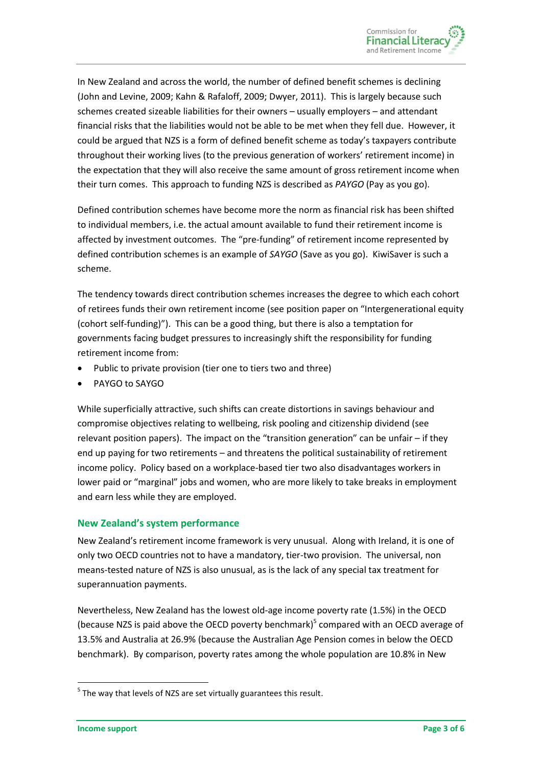In New Zealand and across the world, the number of defined benefit schemes is declining [\(John and Levine,](#page-4-2) 2009; [Kahn & Rafaloff,](#page-4-3) 2009; [Dwyer,](#page-4-4) 2011). This is largely because such schemes created sizeable liabilities for their owners – usually employers – and attendant financial risks that the liabilities would not be able to be met when they fell due. However, it could be argued that NZS is a form of defined benefit scheme as today's taxpayers contribute throughout their working lives (to the previous generation of workers' retirement income) in the expectation that they will also receive the same amount of gross retirement income when their turn comes. This approach to funding NZS is described as *PAYGO* (Pay as you go).

Defined contribution schemes have become more the norm as financial risk has been shifted to individual members, i.e. the actual amount available to fund their retirement income is affected by investment outcomes. The "pre-funding" of retirement income represented by defined contribution schemes is an example of *SAYGO* (Save as you go). KiwiSaver is such a scheme.

The tendency towards direct contribution schemes increases the degree to which each cohort of retirees funds their own retirement income (see position paper on "Intergenerational equity (cohort self-funding)"). This can be a good thing, but there is also a temptation for governments facing budget pressures to increasingly shift the responsibility for funding retirement income from:

- Public to private provision (tier one to tiers two and three)
- PAYGO to SAYGO

While superficially attractive, such shifts can create distortions in savings behaviour and compromise objectives relating to wellbeing, risk pooling and citizenship dividend (see relevant position papers). The impact on the "transition generation" can be unfair – if they end up paying for two retirements – and threatens the political sustainability of retirement income policy. Policy based on a workplace-based tier two also disadvantages workers in lower paid or "marginal" jobs and women, who are more likely to take breaks in employment and earn less while they are employed.

# **New Zealand's system performance**

New Zealand's retirement income framework is very unusual. Along with Ireland, it is one of only two OECD countries not to have a mandatory, tier-two provision. The universal, non means-tested nature of NZS is also unusual, as is the lack of any special tax treatment for superannuation payments.

Nevertheless, New Zealand has the lowest old-age income poverty rate (1.5%) in the OECD (because NZS is paid above the OECD poverty benchmark)<sup>5</sup> compared with an OECD average of 13.5% and Australia at 26.9% (because the Australian Age Pension comes in below the OECD benchmark). By comparison, poverty rates among the whole population are 10.8% in New

**.** 

 $<sup>5</sup>$  The way that levels of NZS are set virtually guarantees this result.</sup>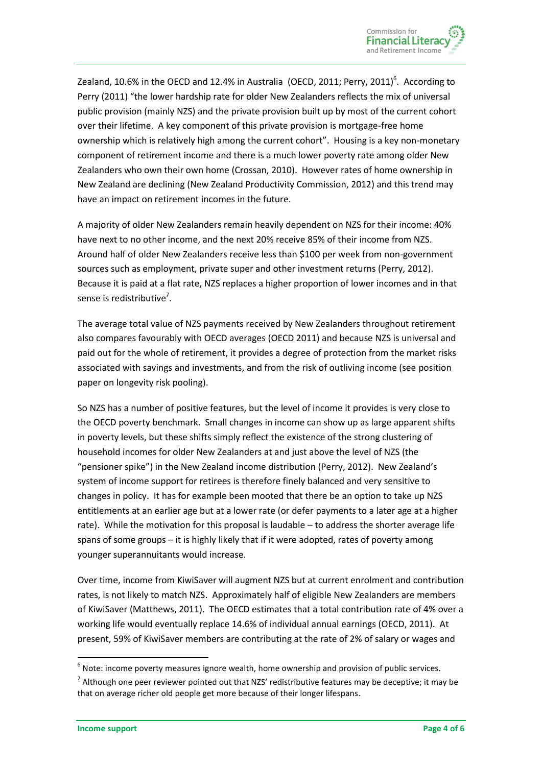Zealand, 10.6% in the OECD and 12.4% in Australia [\(OECD,](#page-5-5) 2011; Perry, 2011)<sup>6</sup>. According to Perry (2011) "the lower hardship rate for older New Zealanders reflects the mix of universal public provision (mainly NZS) and the private provision built up by most of the current cohort over their lifetime. A key component of this private provision is mortgage-free home ownership which is relatively high among the current cohort". Housing is a key non-monetary component of retirement income and there is a much lower poverty rate among older New Zealanders who own their own home [\(Crossan,](#page-4-0) 2010). However rates of home ownership in New Zealand are declining [\(New Zealand Productivity Commission,](#page-5-6) 2012) and this trend may have an impact on retirement incomes in the future.

A majority of older New Zealanders remain heavily dependent on NZS for their income: 40% have next to no other income, and the next 20% receive 85% of their income from NZS. Around half of older New Zealanders receive less than \$100 per week from non-government sources such as employment, private super and other investment returns [\(Perry,](#page-5-7) 2012). Because it is paid at a flat rate, NZS replaces a higher proportion of lower incomes and in that sense is redistributive<sup>7</sup>.

The average total value of NZS payments received by New Zealanders throughout retirement also compares favourably with OECD averages [\(OECD 2011\)](#page-5-5) and because NZS is universal and paid out for the whole of retirement, it provides a degree of protection from the market risks associated with savings and investments, and from the risk of outliving income (see position paper on longevity risk pooling).

So NZS has a number of positive features, but the level of income it provides is very close to the OECD poverty benchmark. Small changes in income can show up as large apparent shifts in poverty levels, but these shifts simply reflect the existence of the strong clustering of household incomes for older New Zealanders at and just above the level of NZS (the "pensioner spike") in the New Zealand income distribution [\(Perry,](#page-5-7) 2012). New Zealand's system of income support for retirees is therefore finely balanced and very sensitive to changes in policy. It has for example been mooted that there be an option to take up NZS entitlements at an earlier age but at a lower rate (or defer payments to a later age at a higher rate). While the motivation for this proposal is laudable – to address the shorter average life spans of some groups – it is highly likely that if it were adopted, rates of poverty among younger superannuitants would increase.

Over time, income from KiwiSaver will augment NZS but at current enrolment and contribution rates, is not likely to match NZS. Approximately half of eligible New Zealanders are members of KiwiSaver [\(Matthews,](#page-5-8) 2011). The OECD estimates that a total contribution rate of 4% over a working life would eventually replace 14.6% of individual annual earnings [\(OECD,](#page-5-5) 2011). At present, 59% of KiwiSaver members are contributing at the rate of 2% of salary or wages and

**.** 

 $<sup>6</sup>$  Note: income poverty measures ignore wealth, home ownership and provision of public services.</sup>

 $^7$  Although one peer reviewer pointed out that NZS' redistributive features may be deceptive; it may be that on average richer old people get more because of their longer lifespans.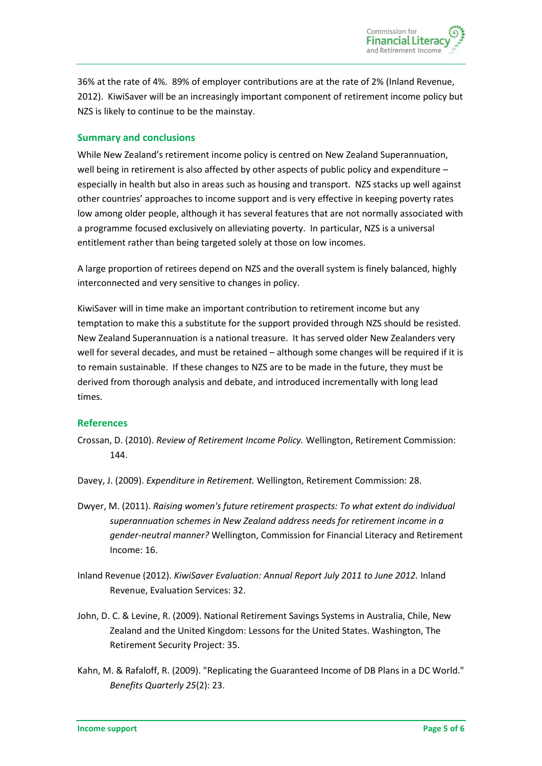36% at the rate of 4%. 89% of employer contributions are at the rate of 2% [\(Inland Revenue,](#page-4-5) [2012\)](#page-4-5). KiwiSaver will be an increasingly important component of retirement income policy but NZS is likely to continue to be the mainstay.

#### **Summary and conclusions**

While New Zealand's retirement income policy is centred on New Zealand Superannuation, well being in retirement is also affected by other aspects of public policy and expenditure – especially in health but also in areas such as housing and transport. NZS stacks up well against other countries' approaches to income support and is very effective in keeping poverty rates low among older people, although it has several features that are not normally associated with a programme focused exclusively on alleviating poverty. In particular, NZS is a universal entitlement rather than being targeted solely at those on low incomes.

A large proportion of retirees depend on NZS and the overall system is finely balanced, highly interconnected and very sensitive to changes in policy.

KiwiSaver will in time make an important contribution to retirement income but any temptation to make this a substitute for the support provided through NZS should be resisted. New Zealand Superannuation is a national treasure. It has served older New Zealanders very well for several decades, and must be retained – although some changes will be required if it is to remain sustainable. If these changes to NZS are to be made in the future, they must be derived from thorough analysis and debate, and introduced incrementally with long lead times.

# **References**

<span id="page-4-0"></span>Crossan, D. (2010). *Review of Retirement Income Policy.* Wellington, Retirement Commission: 144.

<span id="page-4-1"></span>Davey, J. (2009). *Expenditure in Retirement.* Wellington, Retirement Commission: 28.

- <span id="page-4-4"></span>Dwyer, M. (2011). *Raising women's future retirement prospects: To what extent do individual superannuation schemes in New Zealand address needs for retirement income in a gender-neutral manner?* Wellington, Commission for Financial Literacy and Retirement Income: 16.
- <span id="page-4-5"></span>Inland Revenue (2012). *KiwiSaver Evaluation: Annual Report July 2011 to June 2012.* Inland Revenue, Evaluation Services: 32.
- <span id="page-4-2"></span>John, D. C. & Levine, R. (2009). National Retirement Savings Systems in Australia, Chile, New Zealand and the United Kingdom: Lessons for the United States. Washington, The Retirement Security Project: 35.
- <span id="page-4-3"></span>Kahn, M. & Rafaloff, R. (2009). "Replicating the Guaranteed Income of DB Plans in a DC World." *Benefits Quarterly 25*(2): 23.